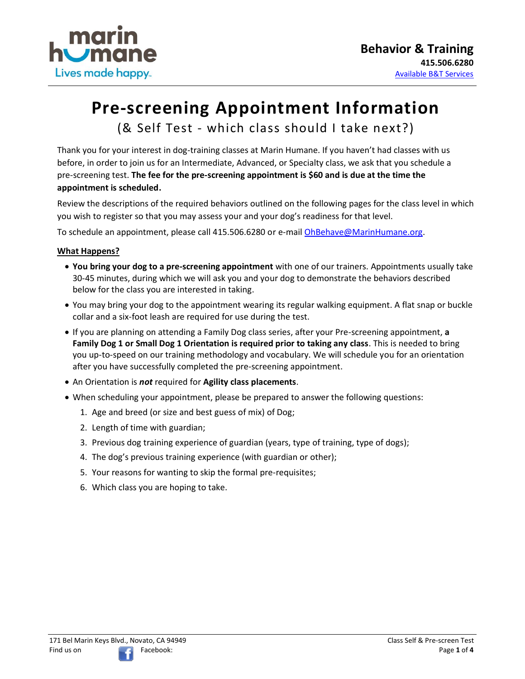

# **Pre-screening Appointment Information**

(& Self Test - which class should I take next?)

Thank you for your interest in dog-training classes at Marin Humane. If you haven't had classes with us before, in order to join us for an Intermediate, Advanced, or Specialty class, we ask that you schedule a pre-screening test. **The fee for the pre-screening appointment is \$60 and is due at the time the appointment is scheduled.**

Review the descriptions of the required behaviors outlined on the following pages for the class level in which you wish to register so that you may assess your and your dog's readiness for that level.

To schedule an appointment, please call 415.506.6280 or e-mail [OhBehave@MarinHumane.org.](mailto:OhBehave@MarinHumane.org)

### **What Happens?**

- **You bring your dog to a pre-screening appointment** with one of our trainers. Appointments usually take 30-45 minutes, during which we will ask you and your dog to demonstrate the behaviors described below for the class you are interested in taking.
- You may bring your dog to the appointment wearing its regular walking equipment. A flat snap or buckle collar and a six-foot leash are required for use during the test.
- If you are planning on attending a Family Dog class series, after your Pre-screening appointment, **a Family Dog 1 or Small Dog 1 Orientation is required prior to taking any class**. This is needed to bring you up-to-speed on our training methodology and vocabulary. We will schedule you for an orientation after you have successfully completed the pre-screening appointment.
- An Orientation is *not* required for **Agility class placements**.
- When scheduling your appointment, please be prepared to answer the following questions:
	- 1. Age and breed (or size and best guess of mix) of Dog;
	- 2. Length of time with guardian;
	- 3. Previous dog training experience of guardian (years, type of training, type of dogs);
	- 4. The dog's previous training experience (with guardian or other);
	- 5. Your reasons for wanting to skip the formal pre-requisites;
	- 6. Which class you are hoping to take.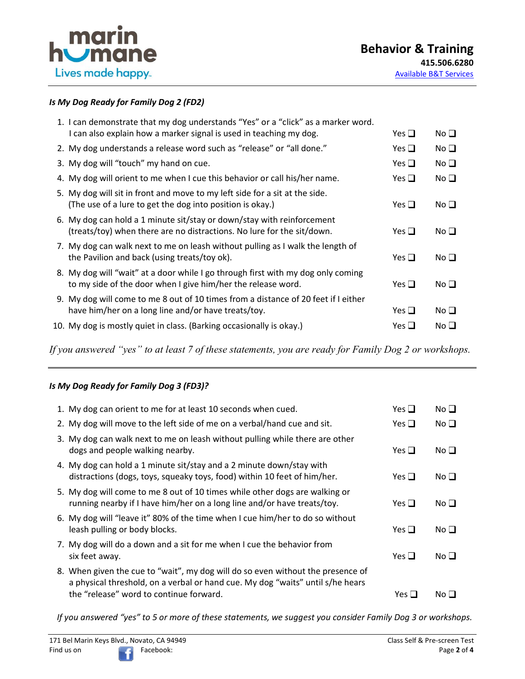

# *Is My Dog Ready for Family Dog 2 (FD2)*

| 1. I can demonstrate that my dog understands "Yes" or a "click" as a marker word.                                                                |               |                 |
|--------------------------------------------------------------------------------------------------------------------------------------------------|---------------|-----------------|
| I can also explain how a marker signal is used in teaching my dog.                                                                               | Yes $\Box$    | No <sub>1</sub> |
| 2. My dog understands a release word such as "release" or "all done."                                                                            | Yes $\Box$    | No $\square$    |
| 3. My dog will "touch" my hand on cue.                                                                                                           | Yes $\square$ | No <sub>1</sub> |
| 4. My dog will orient to me when I cue this behavior or call his/her name.                                                                       | Yes $\Box$    | No <sub>1</sub> |
| 5. My dog will sit in front and move to my left side for a sit at the side.<br>(The use of a lure to get the dog into position is okay.)         | Yes $\Box$    | No <sub>1</sub> |
| 6. My dog can hold a 1 minute sit/stay or down/stay with reinforcement<br>(treats/toy) when there are no distractions. No lure for the sit/down. | Yes $\Box$    | No <sub>1</sub> |
| 7. My dog can walk next to me on leash without pulling as I walk the length of<br>the Pavilion and back (using treats/toy ok).                   | Yes $\Box$    | No <sub>1</sub> |
| 8. My dog will "wait" at a door while I go through first with my dog only coming<br>to my side of the door when I give him/her the release word. | Yes $\Box$    | No <sub>1</sub> |
| 9. My dog will come to me 8 out of 10 times from a distance of 20 feet if I either<br>have him/her on a long line and/or have treats/toy.        | Yes $\Box$    | No <sub>1</sub> |
| 10. My dog is mostly quiet in class. (Barking occasionally is okay.)                                                                             | Yes $\Box$    | No <sub>1</sub> |
|                                                                                                                                                  |               |                 |

*If you answered "yes" to at least 7 of these statements, you are ready for Family Dog 2 or workshops.*

# *Is My Dog Ready for Family Dog 3 (FD3)?*

| 1. My dog can orient to me for at least 10 seconds when cued.                                                                                                                                                | Yes $\Box$    | No <sub>1</sub> |
|--------------------------------------------------------------------------------------------------------------------------------------------------------------------------------------------------------------|---------------|-----------------|
| 2. My dog will move to the left side of me on a verbal/hand cue and sit.                                                                                                                                     | Yes $\Box$    | No <sub>1</sub> |
| 3. My dog can walk next to me on leash without pulling while there are other<br>dogs and people walking nearby.                                                                                              | Yes $\square$ | No <sub>1</sub> |
| 4. My dog can hold a 1 minute sit/stay and a 2 minute down/stay with<br>distractions (dogs, toys, squeaky toys, food) within 10 feet of him/her.                                                             | Yes $\sqcup$  | No <sub>1</sub> |
| 5. My dog will come to me 8 out of 10 times while other dogs are walking or<br>running nearby if I have him/her on a long line and/or have treats/toy.                                                       | Yes $\Box$    | No <sub>1</sub> |
| 6. My dog will "leave it" 80% of the time when I cue him/her to do so without<br>leash pulling or body blocks.                                                                                               | Yes $\Box$    | No <sub>1</sub> |
| 7. My dog will do a down and a sit for me when I cue the behavior from<br>six feet away.                                                                                                                     | Yes $\Box$    | No $\square$    |
| 8. When given the cue to "wait", my dog will do so even without the presence of<br>a physical threshold, on a verbal or hand cue. My dog "waits" until s/he hears<br>the "release" word to continue forward. | Yes $\Box$    | No <sub>l</sub> |
|                                                                                                                                                                                                              |               |                 |

*If you answered "yes" to 5 or more of these statements, we suggest you consider Family Dog 3 or workshops.*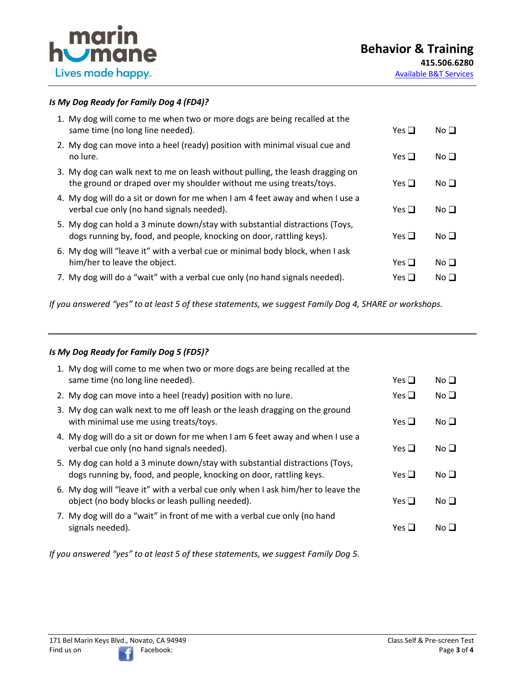

### *Is My Dog Ready for Family Dog 4 (FD4)?*

| 1. My dog will come to me when two or more dogs are being recalled at the<br>same time (no long line needed).                                        | Yes $\Box$   | No <sub>1</sub> |
|------------------------------------------------------------------------------------------------------------------------------------------------------|--------------|-----------------|
| 2. My dog can move into a heel (ready) position with minimal visual cue and<br>no lure.                                                              | Yes $\Box$   | No $\square$    |
| 3. My dog can walk next to me on leash without pulling, the leash dragging on<br>the ground or draped over my shoulder without me using treats/toys. | Yes $\Box$   | No <sub>1</sub> |
| 4. My dog will do a sit or down for me when I am 4 feet away and when I use a<br>verbal cue only (no hand signals needed).                           | Yes $\Box$   | No <sub>l</sub> |
| 5. My dog can hold a 3 minute down/stay with substantial distractions (Toys,<br>dogs running by, food, and people, knocking on door, rattling keys). | Yes $\sqcup$ | No <sub>1</sub> |
| 6. My dog will "leave it" with a verbal cue or minimal body block, when I ask<br>him/her to leave the object.                                        | Yes $\Box$   | No <sub>1</sub> |
| 7. My dog will do a "wait" with a verbal cue only (no hand signals needed).                                                                          | Yes <b>凵</b> | No ∐            |

*If you answered "yes" to at least 5 of these statements, we suggest Family Dog 4, SHARE or workshops.*

#### *Is My Dog Ready for Family Dog 5 (FD5)?*

| 1. My dog will come to me when two or more dogs are being recalled at the<br>same time (no long line needed).                                       | Yes $\sqcup$ | No <sub>1</sub> |
|-----------------------------------------------------------------------------------------------------------------------------------------------------|--------------|-----------------|
| 2. My dog can move into a heel (ready) position with no lure.                                                                                       | Yes $\Box$   | No <sub>1</sub> |
| 3. My dog can walk next to me off leash or the leash dragging on the ground<br>with minimal use me using treats/toys.                               | Yes $\Box$   | No <sub>1</sub> |
| 4. My dog will do a sit or down for me when I am 6 feet away and when I use a<br>verbal cue only (no hand signals needed).                          | Yes $\Box$   | No <sub>1</sub> |
| 5. My dog can hold a 3 minute down/stay with substantial distractions (Toys,<br>dogs running by, food, and people, knocking on door, rattling keys. | Yes $\Box$   | No <sub>1</sub> |
| 6. My dog will "leave it" with a verbal cue only when I ask him/her to leave the<br>object (no body blocks or leash pulling needed).                | Yes $\Box$   | No $\Box$       |
| 7. My dog will do a "wait" in front of me with a verbal cue only (no hand<br>signals needed).                                                       | Yes $\Box$   | No∐             |

*If you answered "yes" to at least 5 of these statements, we suggest Family Dog 5.*